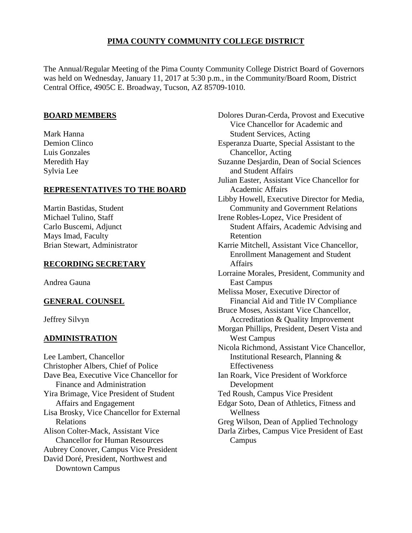# **PIMA COUNTY COMMUNITY COLLEGE DISTRICT**

The Annual/Regular Meeting of the Pima County Community College District Board of Governors was held on Wednesday, January 11, 2017 at 5:30 p.m., in the Community/Board Room, District Central Office, 4905C E. Broadway, Tucson, AZ 85709-1010.

# **BOARD MEMBERS**

Mark Hanna Demion Clinco Luis Gonzales Meredith Hay Sylvia Lee

## **REPRESENTATIVES TO THE BOARD**

Martin Bastidas, Student Michael Tulino, Staff Carlo Buscemi, Adjunct Mays Imad, Faculty Brian Stewart, Administrator

### **RECORDING SECRETARY**

Andrea Gauna

## **GENERAL COUNSEL**

Jeffrey Silvyn

## **ADMINISTRATION**

Lee Lambert, Chancellor Christopher Albers, Chief of Police Dave Bea, Executive Vice Chancellor for Finance and Administration Yira Brimage, Vice President of Student Affairs and Engagement Lisa Brosky, Vice Chancellor for External Relations Alison Colter-Mack, Assistant Vice Chancellor for Human Resources Aubrey Conover, Campus Vice President David Doré, President, Northwest and Downtown Campus

Dolores Duran-Cerda, Provost and Executive Vice Chancellor for Academic and Student Services, Acting Esperanza Duarte, Special Assistant to the Chancellor, Acting Suzanne Desjardin, Dean of Social Sciences and Student Affairs Julian Easter, Assistant Vice Chancellor for Academic Affairs Libby Howell, Executive Director for Media, Community and Government Relations Irene Robles-Lopez, Vice President of Student Affairs, Academic Advising and Retention Karrie Mitchell, Assistant Vice Chancellor, Enrollment Management and Student Affairs Lorraine Morales, President, Community and East Campus Melissa Moser, Executive Director of Financial Aid and Title IV Compliance Bruce Moses, Assistant Vice Chancellor, Accreditation & Quality Improvement Morgan Phillips, President, Desert Vista and West Campus Nicola Richmond, Assistant Vice Chancellor, Institutional Research, Planning & Effectiveness Ian Roark, Vice President of Workforce Development Ted Roush, Campus Vice President Edgar Soto, Dean of Athletics, Fitness and Wellness Greg Wilson, Dean of Applied Technology Darla Zirbes, Campus Vice President of East Campus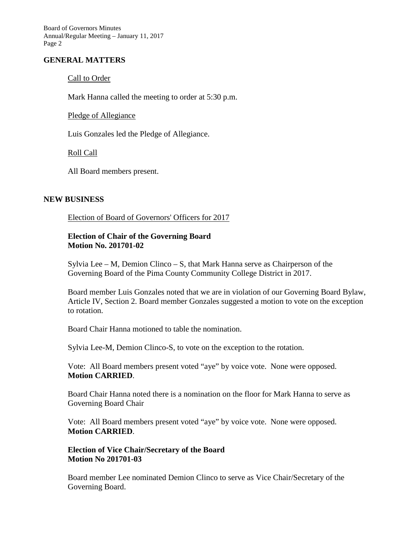## **GENERAL MATTERS**

#### Call to Order

Mark Hanna called the meeting to order at 5:30 p.m.

Pledge of Allegiance

Luis Gonzales led the Pledge of Allegiance.

Roll Call

All Board members present.

### **NEW BUSINESS**

Election of Board of Governors' Officers for 2017

## **Election of Chair of the Governing Board Motion No. 201701-02**

Sylvia Lee – M, Demion Clinco – S, that Mark Hanna serve as Chairperson of the Governing Board of the Pima County Community College District in 2017.

Board member Luis Gonzales noted that we are in violation of our Governing Board Bylaw, Article IV, Section 2. Board member Gonzales suggested a motion to vote on the exception to rotation.

Board Chair Hanna motioned to table the nomination.

Sylvia Lee-M, Demion Clinco-S, to vote on the exception to the rotation.

Vote: All Board members present voted "aye" by voice vote. None were opposed. **Motion CARRIED**.

Board Chair Hanna noted there is a nomination on the floor for Mark Hanna to serve as Governing Board Chair

Vote: All Board members present voted "aye" by voice vote. None were opposed. **Motion CARRIED**.

## **Election of Vice Chair/Secretary of the Board Motion No 201701-03**

Board member Lee nominated Demion Clinco to serve as Vice Chair/Secretary of the Governing Board.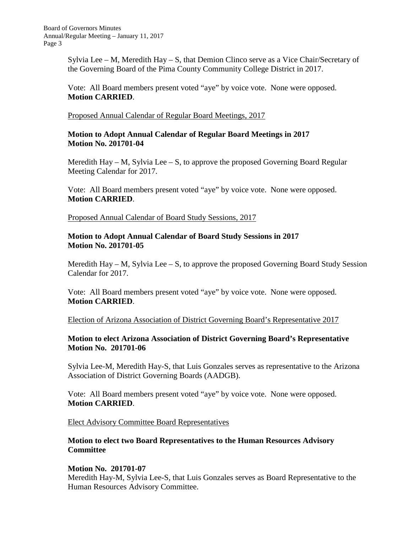Sylvia Lee – M, Meredith Hay – S, that Demion Clinco serve as a Vice Chair/Secretary of the Governing Board of the Pima County Community College District in 2017.

Vote: All Board members present voted "aye" by voice vote. None were opposed. **Motion CARRIED**.

Proposed Annual Calendar of Regular Board Meetings, 2017

## **Motion to Adopt Annual Calendar of Regular Board Meetings in 2017 Motion No. 201701-04**

Meredith Hay – M, Sylvia Lee – S, to approve the proposed Governing Board Regular Meeting Calendar for 2017.

Vote: All Board members present voted "aye" by voice vote. None were opposed. **Motion CARRIED**.

Proposed Annual Calendar of Board Study Sessions, 2017

## **Motion to Adopt Annual Calendar of Board Study Sessions in 2017 Motion No. 201701-05**

Meredith  $\text{Hay} - \text{M}$ , Sylvia Lee  $-$  S, to approve the proposed Governing Board Study Session Calendar for 2017.

Vote: All Board members present voted "aye" by voice vote. None were opposed. **Motion CARRIED**.

Election of Arizona Association of District Governing Board's Representative 2017

# **Motion to elect Arizona Association of District Governing Board's Representative Motion No. 201701-06**

Sylvia Lee-M, Meredith Hay-S, that Luis Gonzales serves as representative to the Arizona Association of District Governing Boards (AADGB).

Vote: All Board members present voted "aye" by voice vote. None were opposed. **Motion CARRIED**.

Elect Advisory Committee Board Representatives

# **Motion to elect two Board Representatives to the Human Resources Advisory Committee**

## **Motion No. 201701-07**

Meredith Hay-M, Sylvia Lee-S, that Luis Gonzales serves as Board Representative to the Human Resources Advisory Committee.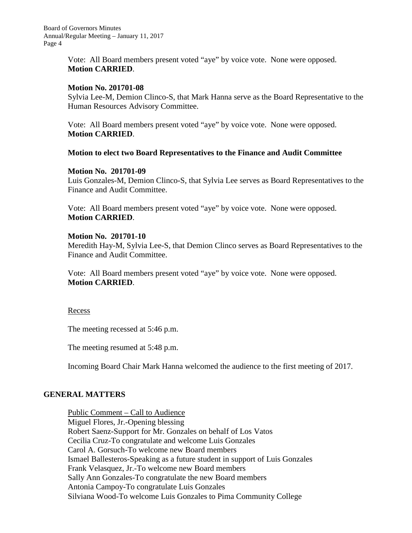> Vote: All Board members present voted "aye" by voice vote. None were opposed. **Motion CARRIED**.

#### **Motion No. 201701-08**

Sylvia Lee-M, Demion Clinco-S, that Mark Hanna serve as the Board Representative to the Human Resources Advisory Committee.

Vote: All Board members present voted "aye" by voice vote. None were opposed. **Motion CARRIED**.

### **Motion to elect two Board Representatives to the Finance and Audit Committee**

### **Motion No. 201701-09**

Luis Gonzales-M, Demion Clinco-S, that Sylvia Lee serves as Board Representatives to the Finance and Audit Committee.

Vote: All Board members present voted "aye" by voice vote. None were opposed. **Motion CARRIED**.

### **Motion No. 201701-10**

Meredith Hay-M, Sylvia Lee-S, that Demion Clinco serves as Board Representatives to the Finance and Audit Committee.

Vote: All Board members present voted "aye" by voice vote. None were opposed. **Motion CARRIED**.

#### Recess

The meeting recessed at 5:46 p.m.

The meeting resumed at 5:48 p.m.

Incoming Board Chair Mark Hanna welcomed the audience to the first meeting of 2017.

# **GENERAL MATTERS**

Public Comment – Call to Audience Miguel Flores, Jr.-Opening blessing Robert Saenz-Support for Mr. Gonzales on behalf of Los Vatos Cecilia Cruz-To congratulate and welcome Luis Gonzales Carol A. Gorsuch-To welcome new Board members Ismael Ballesteros-Speaking as a future student in support of Luis Gonzales Frank Velasquez, Jr.-To welcome new Board members Sally Ann Gonzales-To congratulate the new Board members Antonia Campoy-To congratulate Luis Gonzales Silviana Wood-To welcome Luis Gonzales to Pima Community College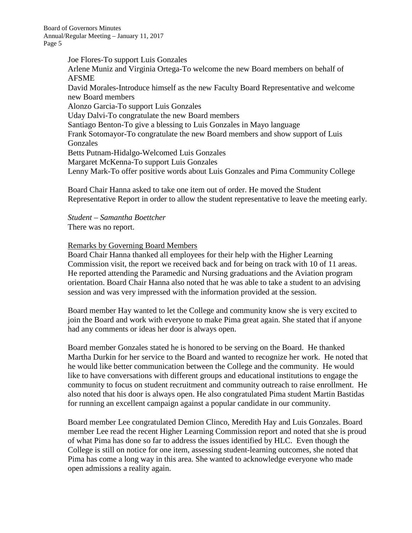> Joe Flores-To support Luis Gonzales Arlene Muniz and Virginia Ortega-To welcome the new Board members on behalf of AFSME David Morales-Introduce himself as the new Faculty Board Representative and welcome new Board members Alonzo Garcia-To support Luis Gonzales Uday Dalvi-To congratulate the new Board members Santiago Benton-To give a blessing to Luis Gonzales in Mayo language Frank Sotomayor-To congratulate the new Board members and show support of Luis Gonzales Betts Putnam-Hidalgo-Welcomed Luis Gonzales Margaret McKenna-To support Luis Gonzales Lenny Mark-To offer positive words about Luis Gonzales and Pima Community College

Board Chair Hanna asked to take one item out of order. He moved the Student Representative Report in order to allow the student representative to leave the meeting early.

*Student – Samantha Boettcher* There was no report.

### Remarks by Governing Board Members

Board Chair Hanna thanked all employees for their help with the Higher Learning Commission visit, the report we received back and for being on track with 10 of 11 areas. He reported attending the Paramedic and Nursing graduations and the Aviation program orientation. Board Chair Hanna also noted that he was able to take a student to an advising session and was very impressed with the information provided at the session.

Board member Hay wanted to let the College and community know she is very excited to join the Board and work with everyone to make Pima great again. She stated that if anyone had any comments or ideas her door is always open.

Board member Gonzales stated he is honored to be serving on the Board. He thanked Martha Durkin for her service to the Board and wanted to recognize her work. He noted that he would like better communication between the College and the community. He would like to have conversations with different groups and educational institutions to engage the community to focus on student recruitment and community outreach to raise enrollment. He also noted that his door is always open. He also congratulated Pima student Martin Bastidas for running an excellent campaign against a popular candidate in our community.

Board member Lee congratulated Demion Clinco, Meredith Hay and Luis Gonzales. Board member Lee read the recent Higher Learning Commission report and noted that she is proud of what Pima has done so far to address the issues identified by HLC. Even though the College is still on notice for one item, assessing student-learning outcomes, she noted that Pima has come a long way in this area. She wanted to acknowledge everyone who made open admissions a reality again.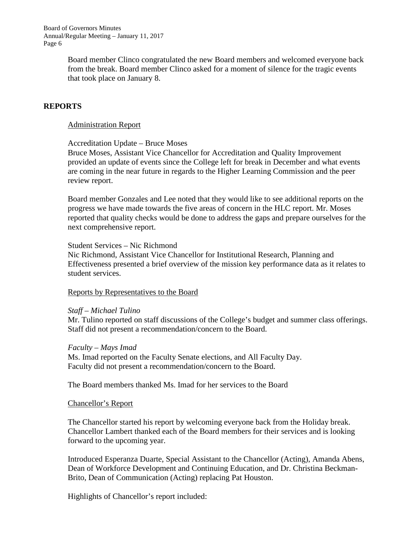> Board member Clinco congratulated the new Board members and welcomed everyone back from the break. Board member Clinco asked for a moment of silence for the tragic events that took place on January 8.

# **REPORTS**

### Administration Report

Accreditation Update – Bruce Moses

Bruce Moses, Assistant Vice Chancellor for Accreditation and Quality Improvement provided an update of events since the College left for break in December and what events are coming in the near future in regards to the Higher Learning Commission and the peer review report.

Board member Gonzales and Lee noted that they would like to see additional reports on the progress we have made towards the five areas of concern in the HLC report. Mr. Moses reported that quality checks would be done to address the gaps and prepare ourselves for the next comprehensive report.

#### Student Services – Nic Richmond

Nic Richmond, Assistant Vice Chancellor for Institutional Research, Planning and Effectiveness presented a brief overview of the mission key performance data as it relates to student services.

#### Reports by Representatives to the Board

#### *Staff – Michael Tulino*

Mr. Tulino reported on staff discussions of the College's budget and summer class offerings. Staff did not present a recommendation/concern to the Board.

#### *Faculty – Mays Imad*

Ms. Imad reported on the Faculty Senate elections, and All Faculty Day. Faculty did not present a recommendation/concern to the Board.

The Board members thanked Ms. Imad for her services to the Board

#### Chancellor's Report

The Chancellor started his report by welcoming everyone back from the Holiday break. Chancellor Lambert thanked each of the Board members for their services and is looking forward to the upcoming year.

Introduced Esperanza Duarte, Special Assistant to the Chancellor (Acting), Amanda Abens, Dean of Workforce Development and Continuing Education, and Dr. Christina Beckman-Brito, Dean of Communication (Acting) replacing Pat Houston.

Highlights of Chancellor's report included: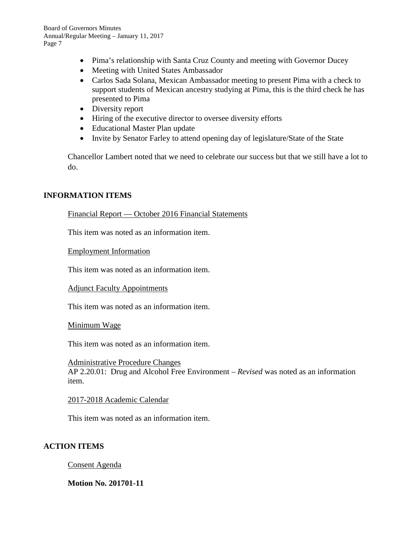- Pima's relationship with Santa Cruz County and meeting with Governor Ducey
- Meeting with United States Ambassador
- Carlos Sada Solana, Mexican Ambassador meeting to present Pima with a check to support students of Mexican ancestry studying at Pima, this is the third check he has presented to Pima
- Diversity report
- Hiring of the executive director to oversee diversity efforts
- Educational Master Plan update
- Invite by Senator Farley to attend opening day of legislature/State of the State

Chancellor Lambert noted that we need to celebrate our success but that we still have a lot to do.

## **INFORMATION ITEMS**

#### Financial Report — October 2016 Financial Statements

This item was noted as an information item.

Employment Information

This item was noted as an information item.

#### Adjunct Faculty Appointments

This item was noted as an information item.

Minimum Wage

This item was noted as an information item.

Administrative Procedure Changes AP 2.20.01: Drug and Alcohol Free Environment – *Revised* was noted as an information item.

#### 2017-2018 Academic Calendar

This item was noted as an information item.

## **ACTION ITEMS**

Consent Agenda

## **Motion No. 201701-11**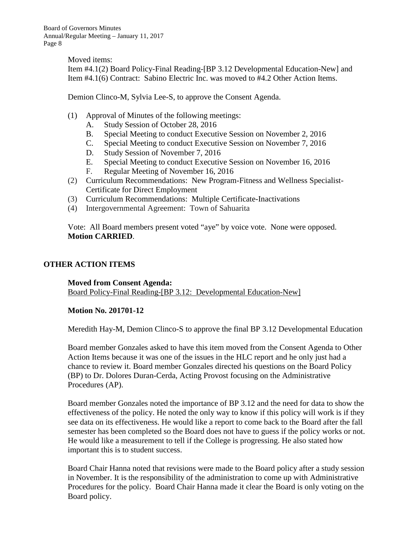Moved items: Item #4.1(2) Board Policy-Final Reading-[BP 3.12 Developmental Education-New] and Item #4.1(6) Contract: Sabino Electric Inc. was moved to #4.2 Other Action Items.

Demion Clinco-M, Sylvia Lee-S, to approve the Consent Agenda.

- (1) Approval of Minutes of the following meetings:
	- A. Study Session of October 28, 2016
	- B. Special Meeting to conduct Executive Session on November 2, 2016
	- C. Special Meeting to conduct Executive Session on November 7, 2016
	- D. Study Session of November 7, 2016
	- E. Special Meeting to conduct Executive Session on November 16, 2016
	- F. Regular Meeting of November 16, 2016
- (2) Curriculum Recommendations: New Program-Fitness and Wellness Specialist-Certificate for Direct Employment
- (3) Curriculum Recommendations: Multiple Certificate-Inactivations
- (4) Intergovernmental Agreement: Town of Sahuarita

Vote: All Board members present voted "aye" by voice vote. None were opposed. **Motion CARRIED**.

# **OTHER ACTION ITEMS**

**Moved from Consent Agenda:** Board Policy-Final Reading-[BP 3.12: Developmental Education-New]

## **Motion No. 201701-12**

Meredith Hay-M, Demion Clinco-S to approve the final BP 3.12 Developmental Education

Board member Gonzales asked to have this item moved from the Consent Agenda to Other Action Items because it was one of the issues in the HLC report and he only just had a chance to review it. Board member Gonzales directed his questions on the Board Policy (BP) to Dr. Dolores Duran-Cerda, Acting Provost focusing on the Administrative Procedures (AP).

Board member Gonzales noted the importance of BP 3.12 and the need for data to show the effectiveness of the policy. He noted the only way to know if this policy will work is if they see data on its effectiveness. He would like a report to come back to the Board after the fall semester has been completed so the Board does not have to guess if the policy works or not. He would like a measurement to tell if the College is progressing. He also stated how important this is to student success.

Board Chair Hanna noted that revisions were made to the Board policy after a study session in November. It is the responsibility of the administration to come up with Administrative Procedures for the policy. Board Chair Hanna made it clear the Board is only voting on the Board policy.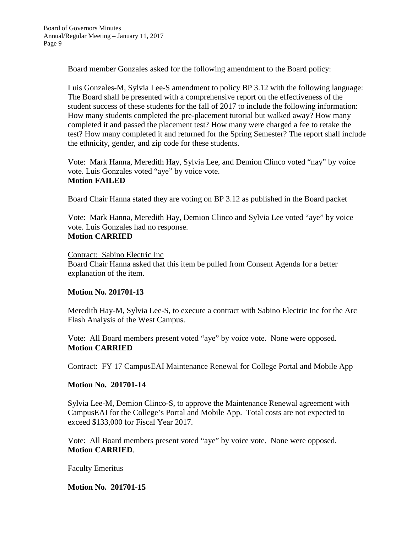Board member Gonzales asked for the following amendment to the Board policy:

Luis Gonzales-M, Sylvia Lee-S amendment to policy BP 3.12 with the following language: The Board shall be presented with a comprehensive report on the effectiveness of the student success of these students for the fall of 2017 to include the following information: How many students completed the pre-placement tutorial but walked away? How many completed it and passed the placement test? How many were charged a fee to retake the test? How many completed it and returned for the Spring Semester? The report shall include the ethnicity, gender, and zip code for these students.

Vote: Mark Hanna, Meredith Hay, Sylvia Lee, and Demion Clinco voted "nay" by voice vote. Luis Gonzales voted "aye" by voice vote. **Motion FAILED**

Board Chair Hanna stated they are voting on BP 3.12 as published in the Board packet

Vote: Mark Hanna, Meredith Hay, Demion Clinco and Sylvia Lee voted "aye" by voice vote. Luis Gonzales had no response. **Motion CARRIED**

Contract: Sabino Electric Inc Board Chair Hanna asked that this item be pulled from Consent Agenda for a better explanation of the item.

## **Motion No. 201701-13**

Meredith Hay-M, Sylvia Lee-S, to execute a contract with Sabino Electric Inc for the Arc Flash Analysis of the West Campus.

Vote: All Board members present voted "aye" by voice vote. None were opposed. **Motion CARRIED**

Contract: FY 17 CampusEAI Maintenance Renewal for College Portal and Mobile App

## **Motion No. 201701-14**

Sylvia Lee-M, Demion Clinco-S, to approve the Maintenance Renewal agreement with CampusEAI for the College's Portal and Mobile App. Total costs are not expected to exceed \$133,000 for Fiscal Year 2017.

Vote: All Board members present voted "aye" by voice vote. None were opposed. **Motion CARRIED**.

## Faculty Emeritus

## **Motion No. 201701-15**